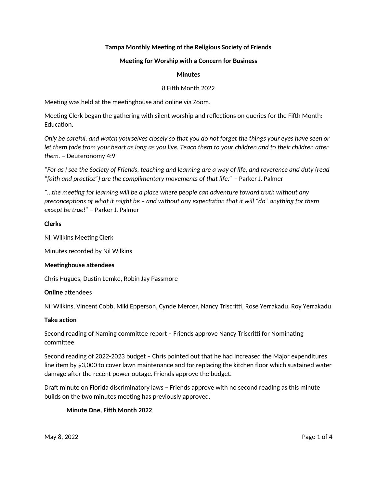# **Tampa Monthly Meeting of the Religious Society of Friends**

### **Meetng for Worship with a Concern for Business**

### **Minutes**

### 8 Fifh Month 2022

Meeting was held at the meetinghouse and online via Zoom.

Meeting Clerk began the gathering with silent worship and reflections on queries for the Fifth Month: Education.

*Only be careful, and watch yourselves closely so that you do not forget the things your eyes have seen or let them fade from your heart as long as you live. Teach them to your children and to their children afer them. –* Deuteronomy 4:9

*"For as I see the Society of Friends, teaching and learning are a way of life, and reverence and duty (read "faith and practce") are the complimentary movements of that life."* – Parker J. Palmer

*"…the meetng for learning will be a place where people can adventure toward truth without any preconceptions of what it might be – and without any expectation that it will "do" anything for them except be true!"* – Parker J. Palmer

### **Clerks**

Nil Wilkins Meeting Clerk

Minutes recorded by Nil Wilkins

#### **Meetinghouse attendees**

Chris Hugues, Dustin Lemke, Robin Jay Passmore

### **Online** attendees

Nil Wilkins, Vincent Cobb, Miki Epperson, Cynde Mercer, Nancy Triscritti, Rose Yerrakadu, Roy Yerrakadu

#### **Take action**

Second reading of Naming committee report - Friends approve Nancy Triscritti for Nominating commitee

Second reading of 2022-2023 budget – Chris pointed out that he had increased the Major expenditures line item by \$3,000 to cover lawn maintenance and for replacing the kitchen floor which sustained water damage after the recent power outage. Friends approve the budget.

Draft minute on Florida discriminatory laws – Friends approve with no second reading as this minute builds on the two minutes meeting has previously approved.

### **Minute One, Fifh Month 2022**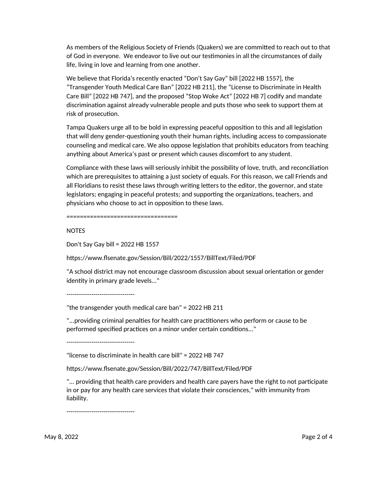As members of the Religious Society of Friends (Quakers) we are commited to reach out to that of God in everyone. We endeavor to live out our testmonies in all the circumstances of daily life, living in love and learning from one another.

We believe that Florida's recently enacted "Don't Say Gay" bill [2022 HB 1557], the "Transgender Youth Medical Care Ban" [2022 HB 211], the "License to Discriminate in Health Care Bill" [2022 HB 747], and the proposed "Stop Woke Act" [2022 HB 7] codify and mandate discrimination against already vulnerable people and puts those who seek to support them at risk of prosecution.

Tampa Quakers urge all to be bold in expressing peaceful opposition to this and all legislation that will deny gender-questoning youth their human rights, including access to compassionate counseling and medical care. We also oppose legislation that prohibits educators from teaching anything about America's past or present which causes discomfort to any student.

Compliance with these laws will seriously inhibit the possibility of love, truth, and reconciliaton which are prerequisites to ataining a just society of equals. For this reason, we call Friends and all Floridians to resist these laws through writng leters to the editor, the governor, and state legislators; engaging in peaceful protests; and supporting the organizations, teachers, and physicians who choose to act in oppositon to these laws.

=================================

NOTES

Don't Say Gay bill = 2022 HB 1557

htps://www.fsenate.gov/Session/Bill/2022/1557/BillText/Filed/PDF

"A school district may not encourage classroom discussion about sexual orientation or gender identity in primary grade levels..."

---------------------------------

"the transgender youth medical care ban" = 2022 HB 211

"...providing criminal penalties for health care practitioners who perform or cause to be performed specified practices on a minor under certain conditions..."

---------------------------------

"license to discriminate in health care bill" = 2022 HB 747

htps://www.fsenate.gov/Session/Bill/2022/747/BillText/Filed/PDF

"... providing that health care providers and health care payers have the right to not partcipate in or pay for any health care services that violate their consciences," with immunity from liability.

---------------------------------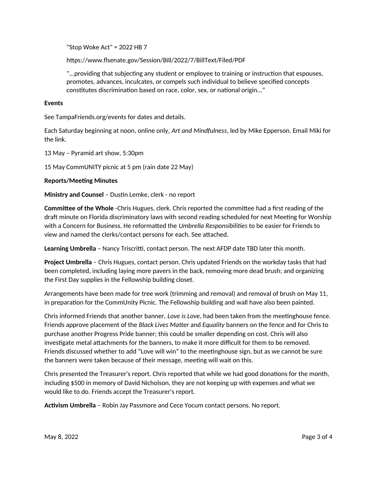"Stop Woke Act" = 2022 HB 7

htps://www.fsenate.gov/Session/Bill/2022/7/BillText/Filed/PDF

"...providing that subjecting any student or employee to training or instruction that espouses, promotes, advances, inculcates, or compels such individual to believe specifed concepts constitutes discrimination based on race, color, sex, or national origin..."

# **Events**

See TampaFriends.org/events for dates and details.

Each Saturday beginning at noon, online only, *Art and Mindfulness*, led by Mike Epperson. Email Miki for the link.

13 May – Pyramid art show, 5:30pm

15 May CommUNITY picnic at 5 pm (rain date 22 May)

### **Reports/Meetng Minutes**

**Ministry and Counsel** – Dustin Lemke, clerk - no report

**Committee of the Whole** -Chris Hugues, clerk. Chris reported the committee had a first reading of the draft minute on Florida discriminatory laws with second reading scheduled for next Meeting for Worship with a Concern for Business. He reformated the *Umbrella Responsibilites* to be easier for Friends to view and named the clerks/contact persons for each. See atached.

**Learning Umbrella** – Nancy Triscritti, contact person. The next AFDP date TBD later this month.

**Project Umbrella** – Chris Hugues, contact person. Chris updated Friends on the workday tasks that had been completed, including laying more pavers in the back, removing more dead brush; and organizing the First Day supplies in the Fellowship building closet.

Arrangements have been made for tree work (trimming and removal) and removal of brush on May 11, in preparation for the CommUnity Picnic. The Fellowship building and wall have also been painted.

Chris informed Friends that another banner, *Love is Love*, had been taken from the meetnghouse fence. Friends approve placement of the *Black Lives Mater* and *Equality* banners on the fence and for Chris to purchase another Progress Pride banner; this could be smaller depending on cost. Chris will also investigate metal attachments for the banners, to make it more difficult for them to be removed. Friends discussed whether to add "Love will win" to the meetinghouse sign, but as we cannot be sure the banners were taken because of their message, meetng will wait on this.

Chris presented the Treasurer's report. Chris reported that while we had good donatons for the month, including \$500 in memory of David Nicholson, they are not keeping up with expenses and what we would like to do. Friends accept the Treasurer's report.

**Activism Umbrella** - Robin Jay Passmore and Cece Yocum contact persons. No report.